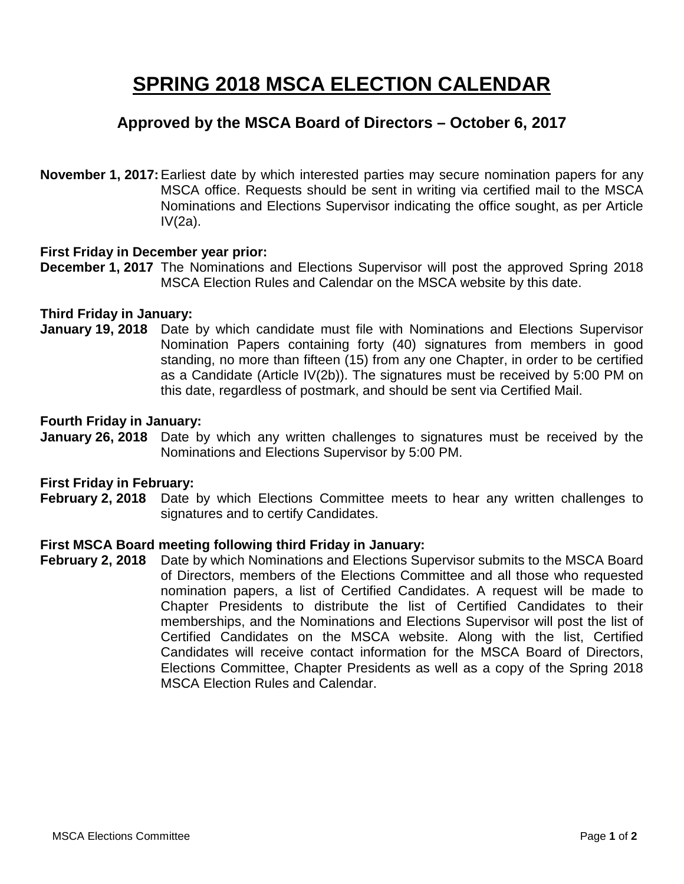## **SPRING 2018 MSCA ELECTION CALENDAR**

## **Approved by the MSCA Board of Directors – October 6, 2017**

**November 1, 2017:**Earliest date by which interested parties may secure nomination papers for any MSCA office. Requests should be sent in writing via certified mail to the MSCA Nominations and Elections Supervisor indicating the office sought, as per Article IV(2a).

## **First Friday in December year prior:**

**December 1, 2017** The Nominations and Elections Supervisor will post the approved Spring 2018 MSCA Election Rules and Calendar on the MSCA website by this date.

## **Third Friday in January:**

**January 19, 2018** Date by which candidate must file with Nominations and Elections Supervisor Nomination Papers containing forty (40) signatures from members in good standing, no more than fifteen (15) from any one Chapter, in order to be certified as a Candidate (Article IV(2b)). The signatures must be received by 5:00 PM on this date, regardless of postmark, and should be sent via Certified Mail.

## **Fourth Friday in January:**

**January 26, 2018** Date by which any written challenges to signatures must be received by the Nominations and Elections Supervisor by 5:00 PM.

### **First Friday in February:**

**February 2, 2018** Date by which Elections Committee meets to hear any written challenges to signatures and to certify Candidates.

## **First MSCA Board meeting following third Friday in January:**

**February 2, 2018** Date by which Nominations and Elections Supervisor submits to the MSCA Board of Directors, members of the Elections Committee and all those who requested nomination papers, a list of Certified Candidates. A request will be made to Chapter Presidents to distribute the list of Certified Candidates to their memberships, and the Nominations and Elections Supervisor will post the list of Certified Candidates on the MSCA website. Along with the list, Certified Candidates will receive contact information for the MSCA Board of Directors, Elections Committee, Chapter Presidents as well as a copy of the Spring 2018 MSCA Election Rules and Calendar.